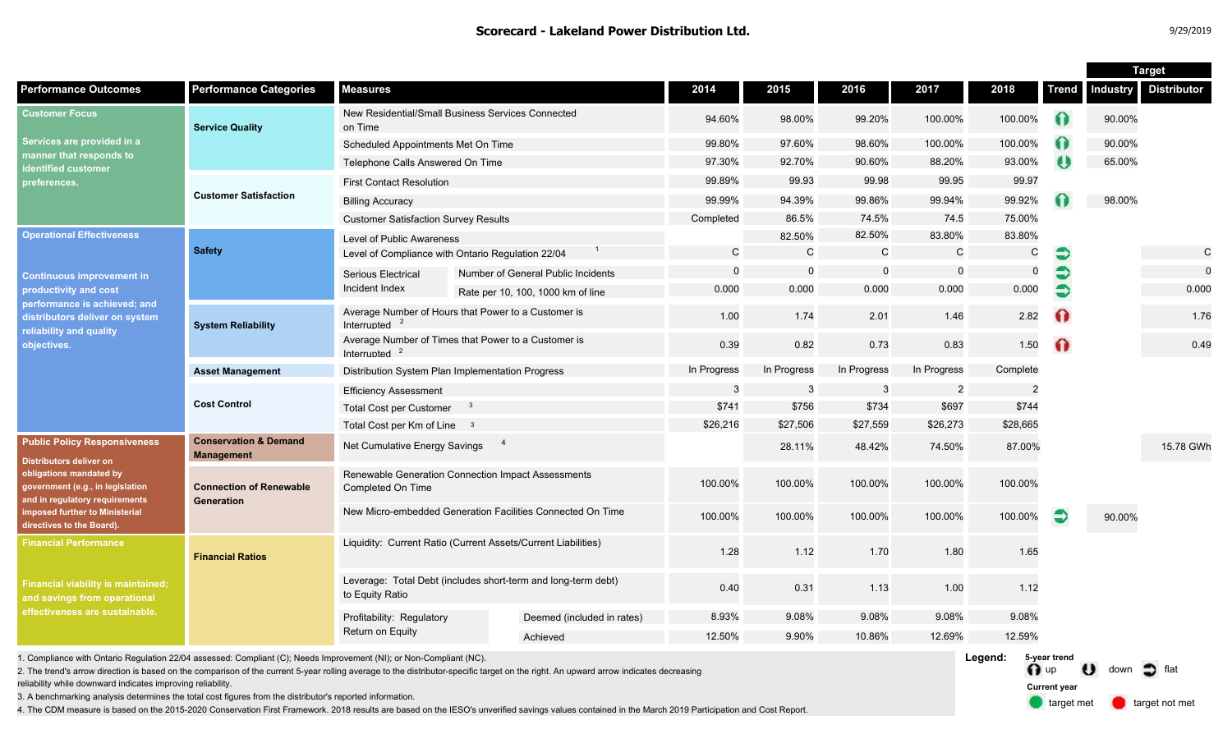|                                                                                                                                                                                                                                       |                                                       |                                                                                  |  |                                    |             |              |              |                |             |              | <b>Target</b> |                    |
|---------------------------------------------------------------------------------------------------------------------------------------------------------------------------------------------------------------------------------------|-------------------------------------------------------|----------------------------------------------------------------------------------|--|------------------------------------|-------------|--------------|--------------|----------------|-------------|--------------|---------------|--------------------|
| <b>Performance Outcomes</b>                                                                                                                                                                                                           | <b>Performance Categories</b>                         | <b>Measures</b>                                                                  |  |                                    | 2014        | 2015         | 2016         | 2017           | 2018        | <b>Trend</b> | Industry      | <b>Distributor</b> |
| <b>Customer Focus</b><br>Services are provided in a<br>manner that responds to<br>identified customer<br>preferences.                                                                                                                 | <b>Service Quality</b>                                | New Residential/Small Business Services Connected<br>on Time                     |  | 94.60%                             | 98.00%      | 99.20%       | 100.00%      | 100.00%        | ∩           | 90.00%       |               |                    |
|                                                                                                                                                                                                                                       |                                                       | Scheduled Appointments Met On Time                                               |  |                                    | 99.80%      | 97.60%       | 98.60%       | 100.00%        | 100.00%     | 6            | 90.00%        |                    |
|                                                                                                                                                                                                                                       |                                                       | Telephone Calls Answered On Time                                                 |  |                                    | 97.30%      | 92.70%       | 90.60%       | 88.20%         | 93.00%      | ω            | 65.00%        |                    |
|                                                                                                                                                                                                                                       | <b>Customer Satisfaction</b>                          | <b>First Contact Resolution</b>                                                  |  |                                    | 99.89%      | 99.93        | 99.98        | 99.95          | 99.97       |              |               |                    |
|                                                                                                                                                                                                                                       |                                                       | <b>Billing Accuracy</b>                                                          |  |                                    | 99.99%      | 94.39%       | 99.86%       | 99.94%         | 99.92%      |              | 98.00%        |                    |
|                                                                                                                                                                                                                                       |                                                       | <b>Customer Satisfaction Survey Results</b>                                      |  | Completed                          | 86.5%       | 74.5%        | 74.5         | 75.00%         |             |              |               |                    |
| <b>Operational Effectiveness</b><br><b>Continuous improvement in</b><br>productivity and cost<br>performance is achieved; and<br>distributors deliver on system<br>reliability and quality<br>objectives.                             | <b>Safety</b>                                         | Level of Public Awareness                                                        |  |                                    |             | 82.50%       | 82.50%       | 83.80%         | 83.80%      |              |               |                    |
|                                                                                                                                                                                                                                       |                                                       | Level of Compliance with Ontario Regulation 22/04                                |  |                                    | C           | $\mathsf{C}$ | $\mathsf{C}$ | $\mathsf{C}$   | C           | €            |               | $\mathsf{C}$       |
|                                                                                                                                                                                                                                       |                                                       | Serious Electrical                                                               |  | Number of General Public Incidents | $\Omega$    | $\mathbf 0$  | $\mathbf 0$  | $\Omega$       | $\mathbf 0$ |              |               | $\mathbf 0$        |
|                                                                                                                                                                                                                                       |                                                       | Incident Index                                                                   |  | Rate per 10, 100, 1000 km of line  | 0.000       | 0.000        | 0.000        | 0.000          | 0.000       | Ð            |               | 0.000              |
|                                                                                                                                                                                                                                       | <b>System Reliability</b>                             | Average Number of Hours that Power to a Customer is<br>Interrupted               |  |                                    | 1.00        | 1.74         | 2.01         | 1.46           | 2.82        | $\Omega$     |               | 1.76               |
|                                                                                                                                                                                                                                       |                                                       | Average Number of Times that Power to a Customer is<br>Interrupted               |  |                                    | 0.39        | 0.82         | 0.73         | 0.83           | 1.50        | ⋒            |               | 0.49               |
|                                                                                                                                                                                                                                       | <b>Asset Management</b>                               | Distribution System Plan Implementation Progress                                 |  |                                    | In Progress | In Progress  | In Progress  | In Progress    | Complete    |              |               |                    |
|                                                                                                                                                                                                                                       | <b>Cost Control</b>                                   | <b>Efficiency Assessment</b>                                                     |  |                                    | 3           | -3           | -3           | $\overline{2}$ | 2           |              |               |                    |
|                                                                                                                                                                                                                                       |                                                       | <b>Total Cost per Customer</b><br>- 3                                            |  |                                    | \$741       | \$756        | \$734        | \$697          | \$744       |              |               |                    |
|                                                                                                                                                                                                                                       |                                                       | Total Cost per Km of Line 3                                                      |  |                                    | \$26,216    | \$27,506     | \$27,559     | \$26,273       | \$28,665    |              |               |                    |
| <b>Public Policy Responsiveness</b><br><b>Distributors deliver on</b><br>obligations mandated by<br>government (e.g., in legislation<br>and in regulatory requirements<br>imposed further to Ministerial<br>directives to the Board). | <b>Conservation &amp; Demand</b><br><b>Management</b> | $\overline{\phantom{a}}$<br>Net Cumulative Energy Savings                        |  |                                    |             | 28.11%       | 48.42%       | 74.50%         | 87.00%      |              |               | 15.78 GWh          |
|                                                                                                                                                                                                                                       | <b>Connection of Renewable</b><br>Generation          | Renewable Generation Connection Impact Assessments<br>Completed On Time          |  |                                    | 100.00%     | 100.00%      | 100.00%      | 100.00%        | 100.00%     |              |               |                    |
|                                                                                                                                                                                                                                       |                                                       | New Micro-embedded Generation Facilities Connected On Time                       |  |                                    | 100.00%     | 100.00%      | 100.00%      | 100.00%        | 100.00%     | ∍            | 90.00%        |                    |
| <b>Financial Performance</b><br><b>Financial viability is maintained;</b><br>and savings from operational<br>effectiveness are sustainable.                                                                                           | <b>Financial Ratios</b>                               | Liquidity: Current Ratio (Current Assets/Current Liabilities)                    |  |                                    | 1.28        | 1.12         | 1.70         | 1.80           | 1.65        |              |               |                    |
|                                                                                                                                                                                                                                       |                                                       | Leverage: Total Debt (includes short-term and long-term debt)<br>to Equity Ratio |  |                                    | 0.40        | 0.31         | 1.13         | 1.00           | 1.12        |              |               |                    |
|                                                                                                                                                                                                                                       |                                                       | Profitability: Regulatory<br>Return on Equity                                    |  | Deemed (included in rates)         | 8.93%       | 9.08%        | 9.08%        | 9.08%          | 9.08%       |              |               |                    |
|                                                                                                                                                                                                                                       |                                                       |                                                                                  |  | Achieved                           | 12.50%      | 9.90%        | 10.86%       | 12.69%         | 12.59%      |              |               |                    |

1. Compliance with Ontario Regulation 22/04 assessed: Compliant (C); Needs Improvement (NI); or Non-Compliant (NC).

2. The trend's arrow direction is based on the comparison of the current 5-year rolling average to the distributor-specific target on the right. An upward arrow indicates decreasing

reliability while downward indicates improving reliability.

3. A benchmarking analysis determines the total cost figures from the distributor's reported information.

4. The CDM measure is based on the 2015-2020 Conservation First Framework. 2018 results are based on the IESO's unverified savings values contained in the March 2019 Participation and Cost Report.

**Legend:** n up U down of flat **5-year trend**

**Current year**

target met **target not met**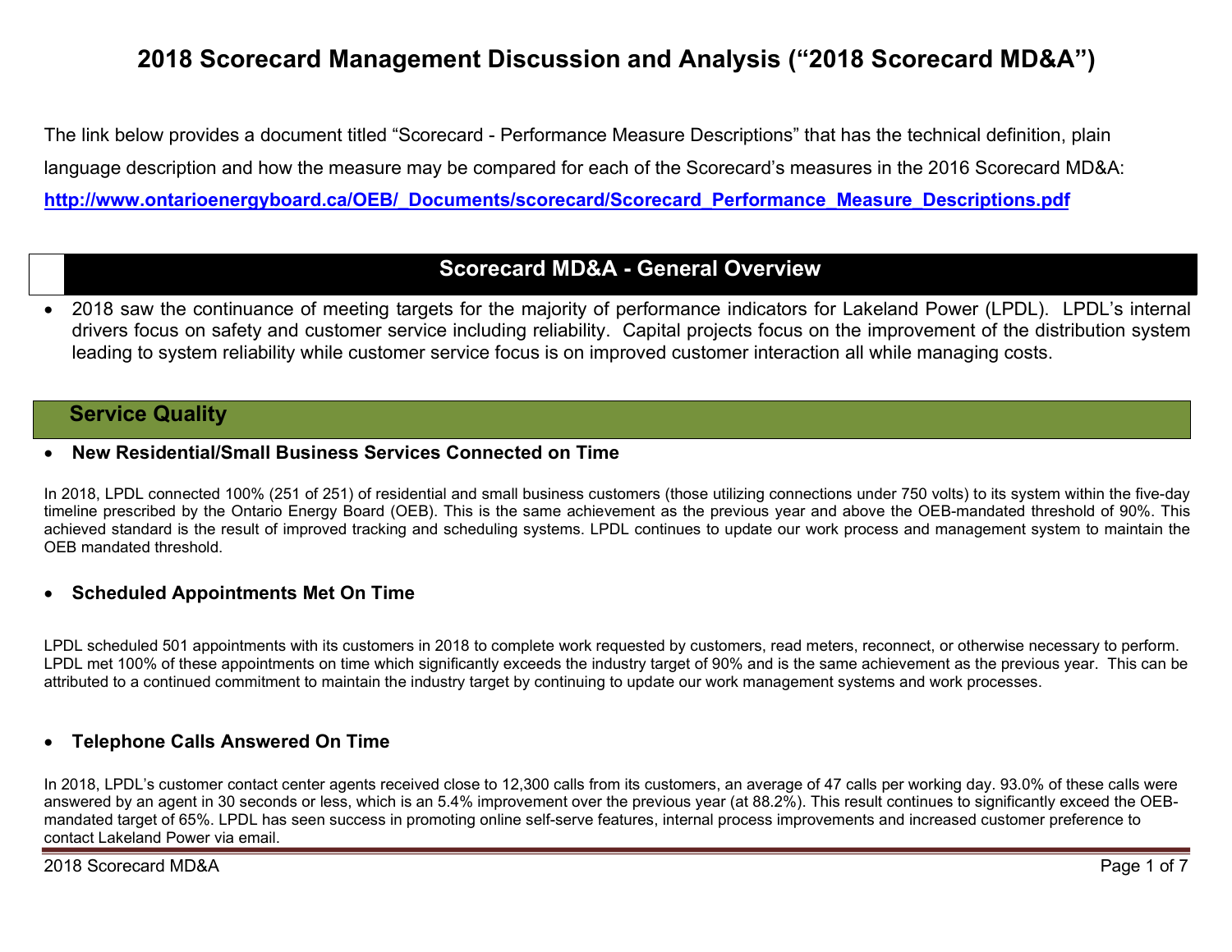# 2018 Scorecard Management Discussion and Analysis ("2018 Scorecard MD&A")

The link below provides a document titled "Scorecard - Performance Measure Descriptions" that has the technical definition, plain language description and how the measure may be compared for each of the Scorecard's measures in the 2016 Scorecard MD&A: http://www.ontarioenergyboard.ca/OEB/\_Documents/scorecard/Scorecard\_Performance\_Measure\_Descriptions.pdf

# Scorecard MD&A - General Overview

 2018 saw the continuance of meeting targets for the majority of performance indicators for Lakeland Power (LPDL). LPDL's internal drivers focus on safety and customer service including reliability. Capital projects focus on the improvement of the distribution system leading to system reliability while customer service focus is on improved customer interaction all while managing costs.

# **Service Quality**

### New Residential/Small Business Services Connected on Time

In 2018, LPDL connected 100% (251 of 251) of residential and small business customers (those utilizing connections under 750 volts) to its system within the five-day timeline prescribed by the Ontario Energy Board (OEB). This is the same achievement as the previous year and above the OEB-mandated threshold of 90%. This achieved standard is the result of improved tracking and scheduling systems. LPDL continues to update our work process and management system to maintain the OEB mandated threshold.

### Scheduled Appointments Met On Time

LPDL scheduled 501 appointments with its customers in 2018 to complete work requested by customers, read meters, reconnect, or otherwise necessary to perform. LPDL met 100% of these appointments on time which significantly exceeds the industry target of 90% and is the same achievement as the previous year. This can be attributed to a continued commitment to maintain the industry target by continuing to update our work management systems and work processes.

### Telephone Calls Answered On Time

In 2018, LPDL's customer contact center agents received close to 12,300 calls from its customers, an average of 47 calls per working day. 93.0% of these calls were answered by an agent in 30 seconds or less, which is an 5.4% improvement over the previous year (at 88.2%). This result continues to significantly exceed the OEBmandated target of 65%. LPDL has seen success in promoting online self-serve features, internal process improvements and increased customer preference to contact Lakeland Power via email.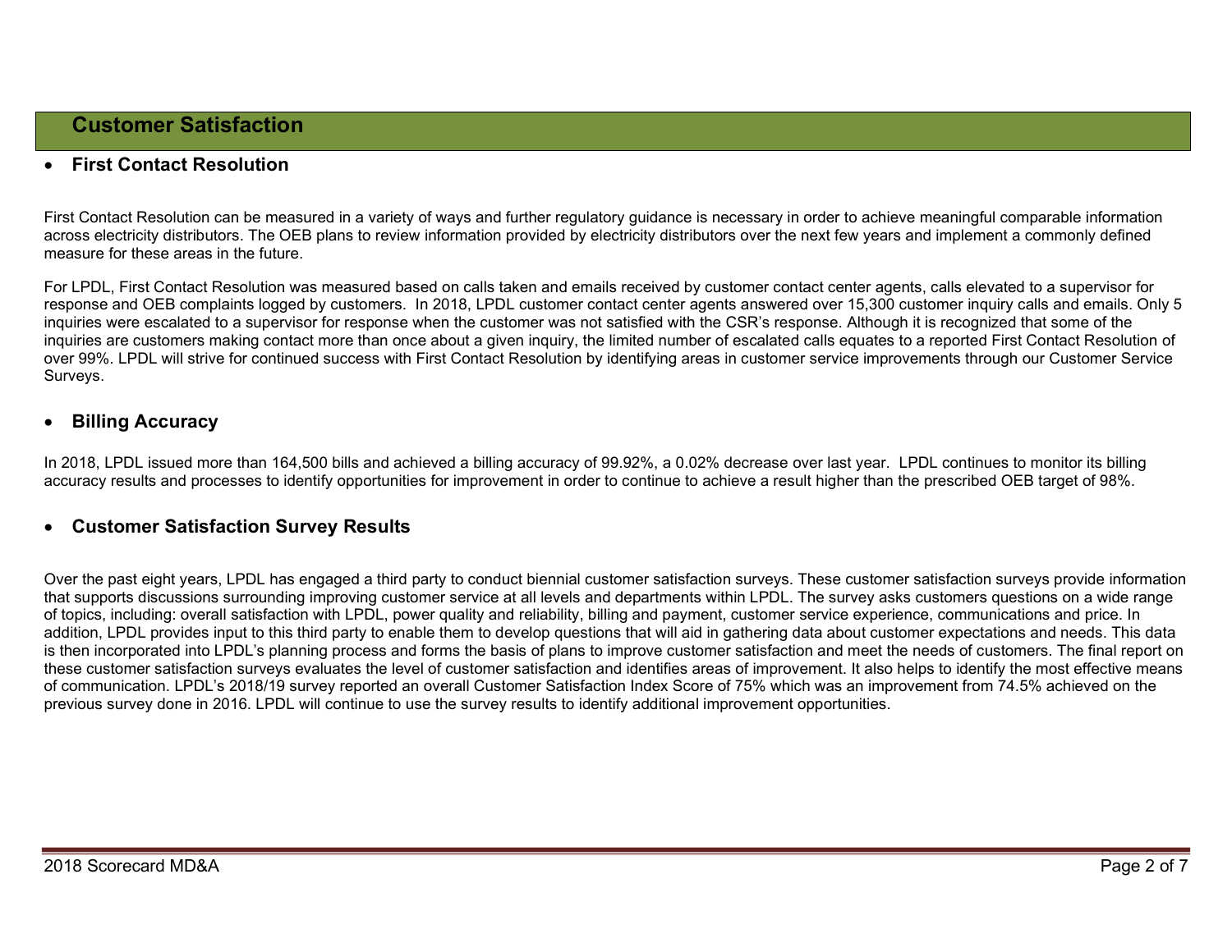### First Contact Resolution

First Contact Resolution can be measured in a variety of ways and further regulatory guidance is necessary in order to achieve meaningful comparable information across electricity distributors. The OEB plans to review information provided by electricity distributors over the next few years and implement a commonly defined measure for these areas in the future.

For LPDL, First Contact Resolution was measured based on calls taken and emails received by customer contact center agents, calls elevated to a supervisor for response and OEB complaints logged by customers. In 2018, LPDL customer contact center agents answered over 15,300 customer inquiry calls and emails. Only 5 inquiries were escalated to a supervisor for response when the customer was not satisfied with the CSR's response. Although it is recognized that some of the inquiries are customers making contact more than once about a given inquiry, the limited number of escalated calls equates to a reported First Contact Resolution of over 99%. LPDL will strive for continued success with First Contact Resolution by identifying areas in customer service improvements through our Customer Service Surveys.

### Billing Accuracy

In 2018, LPDL issued more than 164,500 bills and achieved a billing accuracy of 99.92%, a 0.02% decrease over last year. LPDL continues to monitor its billing accuracy results and processes to identify opportunities for improvement in order to continue to achieve a result higher than the prescribed OEB target of 98%.

#### Customer Satisfaction Survey Results

Over the past eight years, LPDL has engaged a third party to conduct biennial customer satisfaction surveys. These customer satisfaction surveys provide information that supports discussions surrounding improving customer service at all levels and departments within LPDL. The survey asks customers questions on a wide range of topics, including: overall satisfaction with LPDL, power quality and reliability, billing and payment, customer service experience, communications and price. In addition, LPDL provides input to this third party to enable them to develop questions that will aid in gathering data about customer expectations and needs. This data is then incorporated into LPDL's planning process and forms the basis of plans to improve customer satisfaction and meet the needs of customers. The final report on these customer satisfaction surveys evaluates the level of customer satisfaction and identifies areas of improvement. It also helps to identify the most effective means of communication. LPDL's 2018/19 survey reported an overall Customer Satisfaction Index Score of 75% which was an improvement from 74.5% achieved on the previous survey done in 2016. LPDL will continue to use the survey results to identify additional improvement opportunities.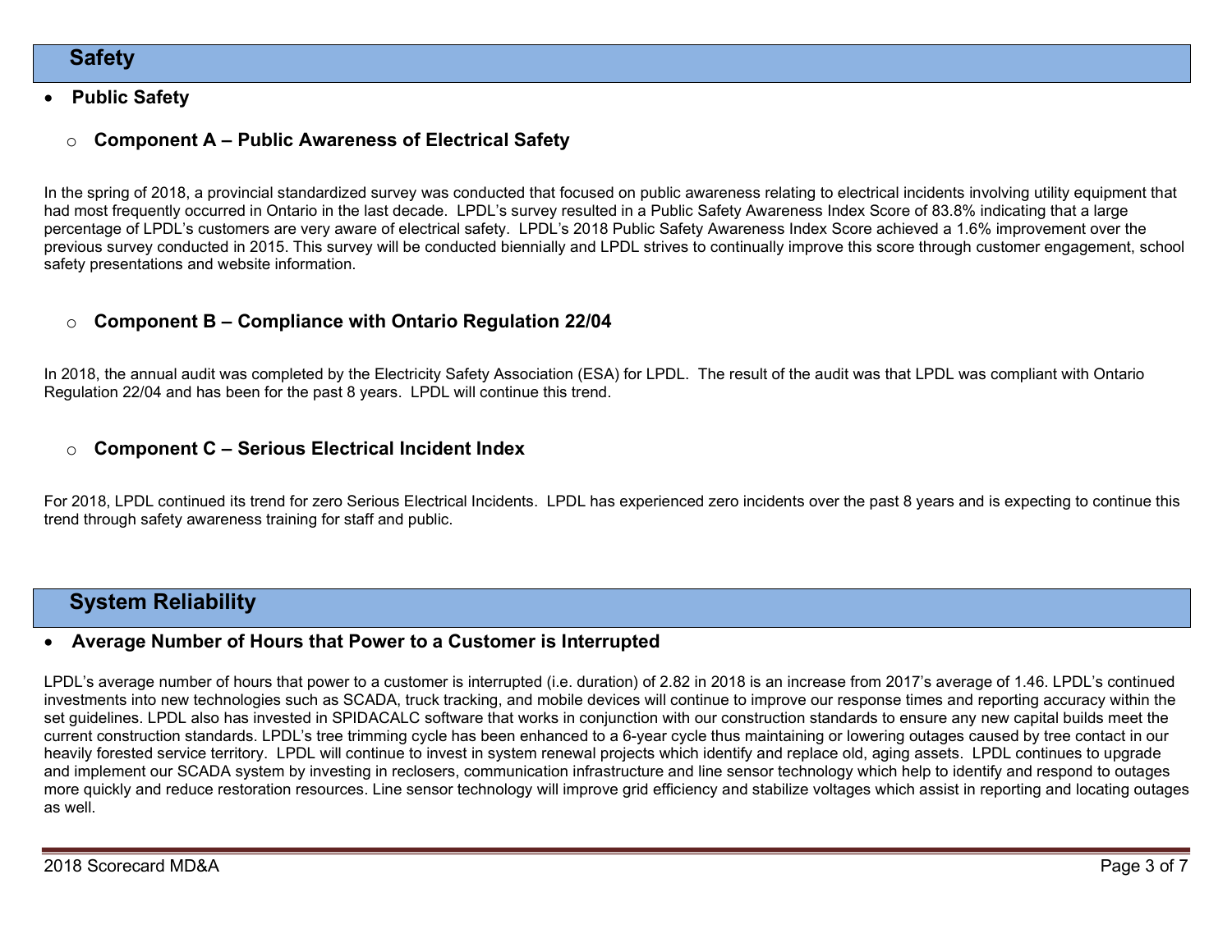# **Safety**

#### Public Safety

# $\circ$  Component A – Public Awareness of Electrical Safety

In the spring of 2018, a provincial standardized survey was conducted that focused on public awareness relating to electrical incidents involving utility equipment that had most frequently occurred in Ontario in the last decade. LPDL's survey resulted in a Public Safety Awareness Index Score of 83.8% indicating that a large percentage of LPDL's customers are very aware of electrical safety. LPDL's 2018 Public Safety Awareness Index Score achieved a 1.6% improvement over the previous survey conducted in 2015. This survey will be conducted biennially and LPDL strives to continually improve this score through customer engagement, school safety presentations and website information.

### $\circ$  Component B – Compliance with Ontario Regulation 22/04

In 2018, the annual audit was completed by the Electricity Safety Association (ESA) for LPDL. The result of the audit was that LPDL was compliant with Ontario Regulation 22/04 and has been for the past 8 years. LPDL will continue this trend.

#### $\circ$  Component C – Serious Electrical Incident Index

For 2018, LPDL continued its trend for zero Serious Electrical Incidents. LPDL has experienced zero incidents over the past 8 years and is expecting to continue this trend through safety awareness training for staff and public.

# System Reliability

#### Average Number of Hours that Power to a Customer is Interrupted

LPDL's average number of hours that power to a customer is interrupted (i.e. duration) of 2.82 in 2018 is an increase from 2017's average of 1.46. LPDL's continued investments into new technologies such as SCADA, truck tracking, and mobile devices will continue to improve our response times and reporting accuracy within the set guidelines. LPDL also has invested in SPIDACALC software that works in conjunction with our construction standards to ensure any new capital builds meet the current construction standards. LPDL's tree trimming cycle has been enhanced to a 6-year cycle thus maintaining or lowering outages caused by tree contact in our heavily forested service territory. LPDL will continue to invest in system renewal projects which identify and replace old, aging assets. LPDL continues to upgrade and implement our SCADA system by investing in reclosers, communication infrastructure and line sensor technology which help to identify and respond to outages more quickly and reduce restoration resources. Line sensor technology will improve grid efficiency and stabilize voltages which assist in reporting and locating outages as well.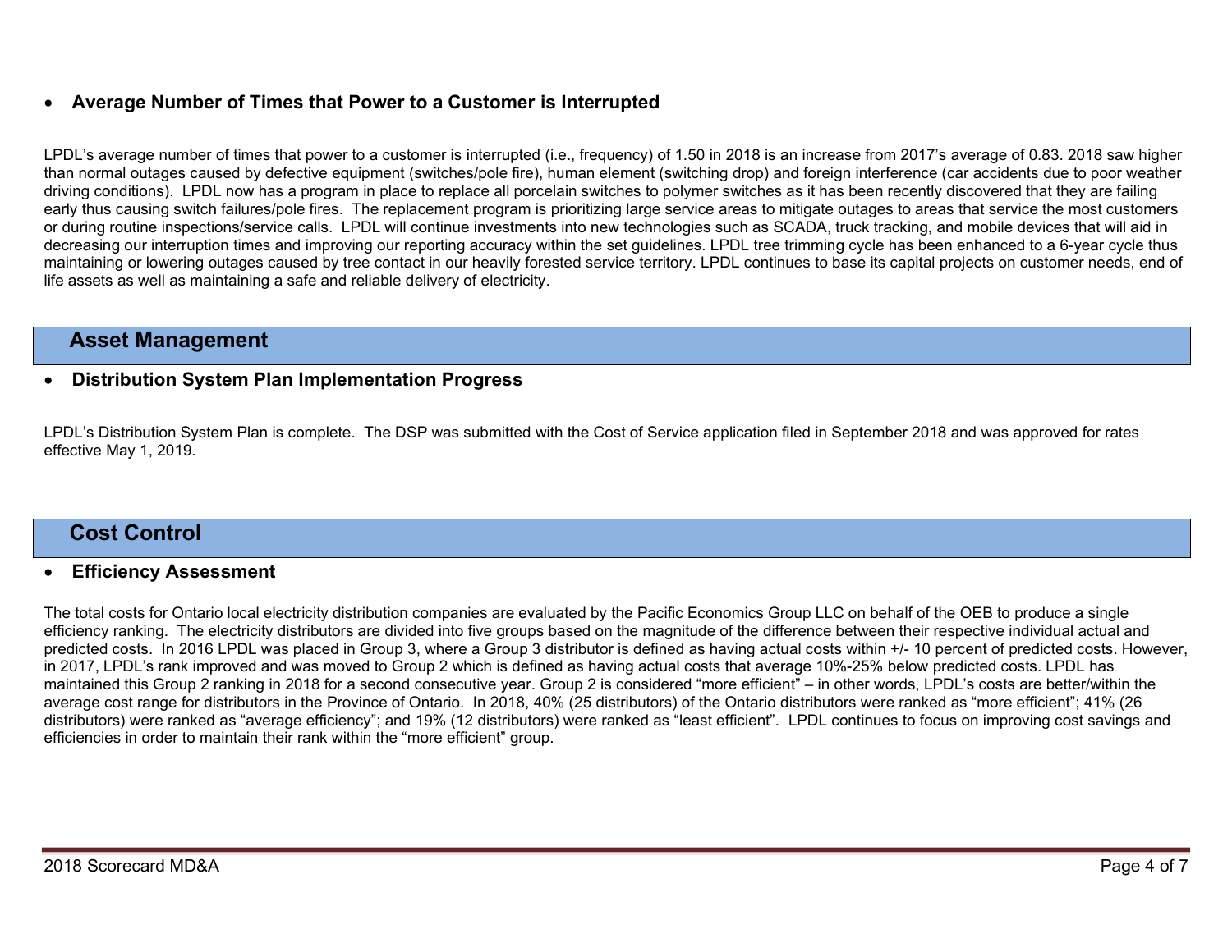## Average Number of Times that Power to a Customer is Interrupted

LPDL's average number of times that power to a customer is interrupted (i.e., frequency) of 1.50 in 2018 is an increase from 2017's average of 0.83. 2018 saw higher than normal outages caused by defective equipment (switches/pole fire), human element (switching drop) and foreign interference (car accidents due to poor weather driving conditions). LPDL now has a program in place to replace all porcelain switches to polymer switches as it has been recently discovered that they are failing early thus causing switch failures/pole fires. The replacement program is prioritizing large service areas to mitigate outages to areas that service the most customers or during routine inspections/service calls. LPDL will continue investments into new technologies such as SCADA, truck tracking, and mobile devices that will aid in decreasing our interruption times and improving our reporting accuracy within the set guidelines. LPDL tree trimming cycle has been enhanced to a 6-year cycle thus maintaining or lowering outages caused by tree contact in our heavily forested service territory. LPDL continues to base its capital projects on customer needs, end of life assets as well as maintaining a safe and reliable delivery of electricity.

# Asset Management

#### Distribution System Plan Implementation Progress

LPDL's Distribution System Plan is complete. The DSP was submitted with the Cost of Service application filed in September 2018 and was approved for rates effective May 1, 2019.

# Cost Control

#### Efficiency Assessment

The total costs for Ontario local electricity distribution companies are evaluated by the Pacific Economics Group LLC on behalf of the OEB to produce a single efficiency ranking. The electricity distributors are divided into five groups based on the magnitude of the difference between their respective individual actual and predicted costs. In 2016 LPDL was placed in Group 3, where a Group 3 distributor is defined as having actual costs within +/- 10 percent of predicted costs. However, in 2017, LPDL's rank improved and was moved to Group 2 which is defined as having actual costs that average 10%-25% below predicted costs. LPDL has maintained this Group 2 ranking in 2018 for a second consecutive year. Group 2 is considered "more efficient" – in other words, LPDL's costs are better/within the average cost range for distributors in the Province of Ontario. In 2018, 40% (25 distributors) of the Ontario distributors were ranked as "more efficient"; 41% (26 distributors) were ranked as "average efficiency"; and 19% (12 distributors) were ranked as "least efficient". LPDL continues to focus on improving cost savings and efficiencies in order to maintain their rank within the "more efficient" group.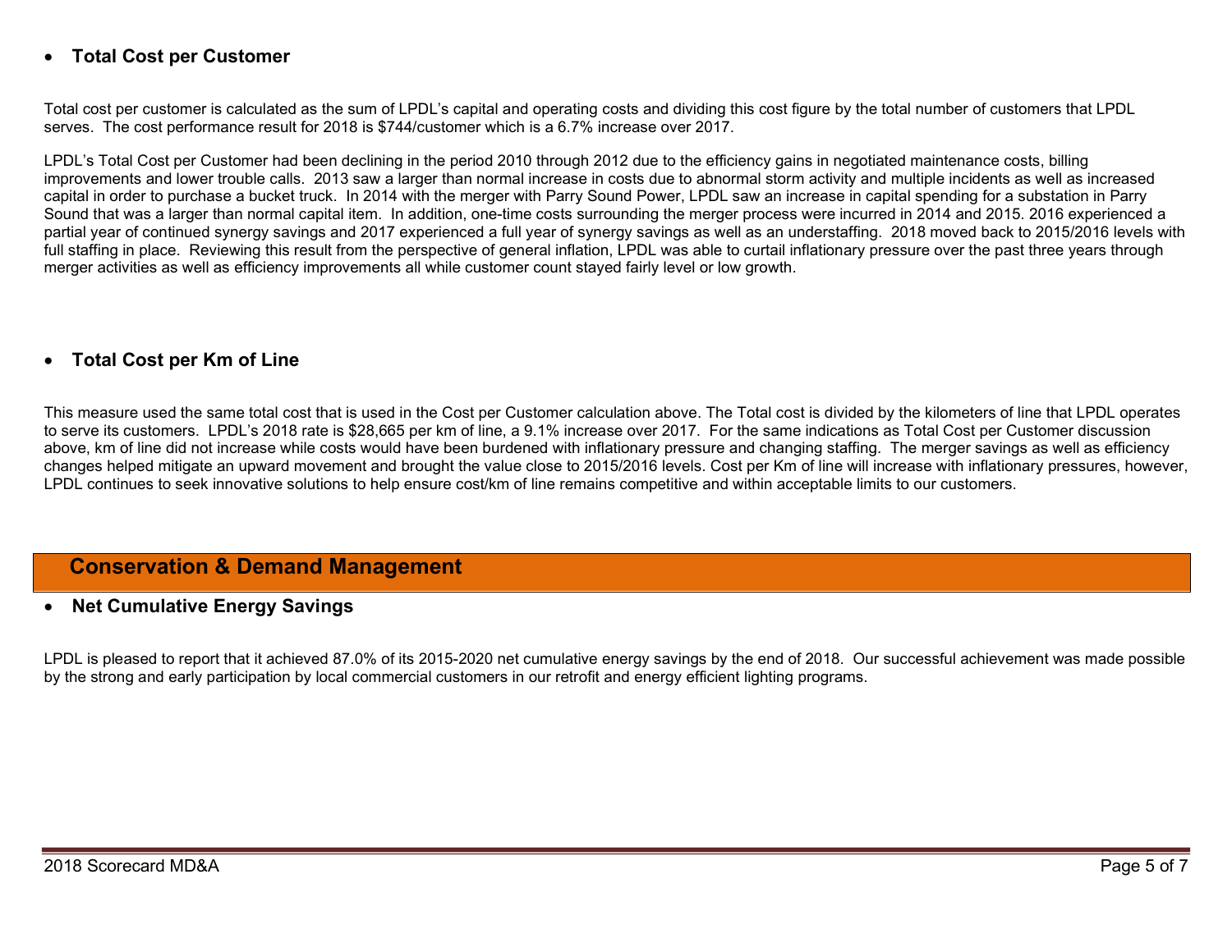### Total Cost per Customer

Total cost per customer is calculated as the sum of LPDL's capital and operating costs and dividing this cost figure by the total number of customers that LPDL serves. The cost performance result for 2018 is \$744/customer which is a 6.7% increase over 2017.

LPDL's Total Cost per Customer had been declining in the period 2010 through 2012 due to the efficiency gains in negotiated maintenance costs, billing improvements and lower trouble calls. 2013 saw a larger than normal increase in costs due to abnormal storm activity and multiple incidents as well as increased capital in order to purchase a bucket truck. In 2014 with the merger with Parry Sound Power, LPDL saw an increase in capital spending for a substation in Parry Sound that was a larger than normal capital item. In addition, one-time costs surrounding the merger process were incurred in 2014 and 2015. 2016 experienced a partial year of continued synergy savings and 2017 experienced a full year of synergy savings as well as an understaffing. 2018 moved back to 2015/2016 levels with full staffing in place. Reviewing this result from the perspective of general inflation, LPDL was able to curtail inflationary pressure over the past three years through merger activities as well as efficiency improvements all while customer count stayed fairly level or low growth.

### Total Cost per Km of Line

This measure used the same total cost that is used in the Cost per Customer calculation above. The Total cost is divided by the kilometers of line that LPDL operates to serve its customers. LPDL's 2018 rate is \$28,665 per km of line, a 9.1% increase over 2017. For the same indications as Total Cost per Customer discussion above, km of line did not increase while costs would have been burdened with inflationary pressure and changing staffing. The merger savings as well as efficiency changes helped mitigate an upward movement and brought the value close to 2015/2016 levels. Cost per Km of line will increase with inflationary pressures, however, LPDL continues to seek innovative solutions to help ensure cost/km of line remains competitive and within acceptable limits to our customers.

# Conservation & Demand Management

#### • Net Cumulative Energy Savings

LPDL is pleased to report that it achieved 87.0% of its 2015-2020 net cumulative energy savings by the end of 2018. Our successful achievement was made possible by the strong and early participation by local commercial customers in our retrofit and energy efficient lighting programs.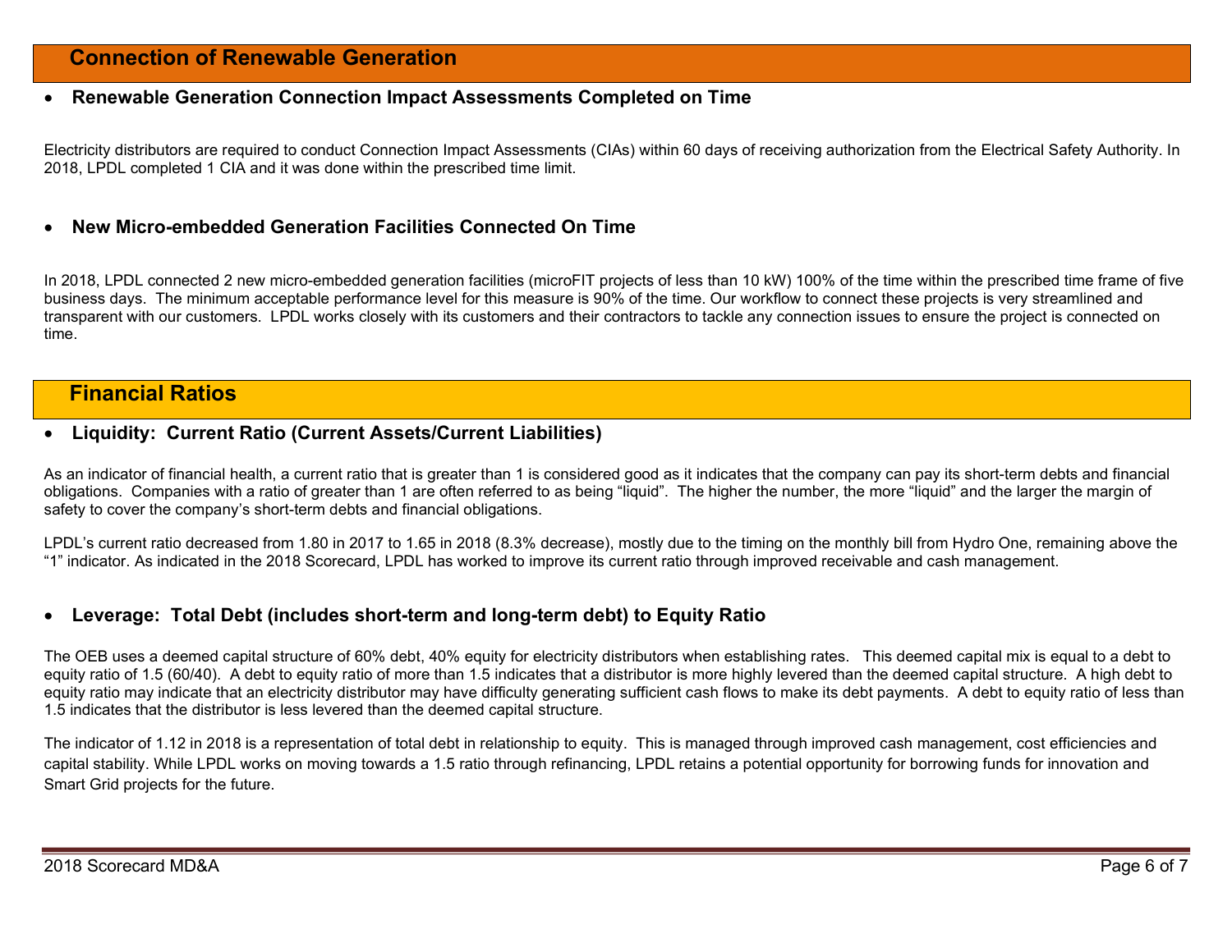# Connection of Renewable Generation

#### Renewable Generation Connection Impact Assessments Completed on Time

Electricity distributors are required to conduct Connection Impact Assessments (CIAs) within 60 days of receiving authorization from the Electrical Safety Authority. In 2018, LPDL completed 1 CIA and it was done within the prescribed time limit.

#### New Micro-embedded Generation Facilities Connected On Time

In 2018, LPDL connected 2 new micro-embedded generation facilities (microFIT projects of less than 10 kW) 100% of the time within the prescribed time frame of five business days. The minimum acceptable performance level for this measure is 90% of the time. Our workflow to connect these projects is very streamlined and transparent with our customers. LPDL works closely with its customers and their contractors to tackle any connection issues to ensure the project is connected on time.

# Financial Ratios

#### Liquidity: Current Ratio (Current Assets/Current Liabilities)

As an indicator of financial health, a current ratio that is greater than 1 is considered good as it indicates that the company can pay its short-term debts and financial obligations. Companies with a ratio of greater than 1 are often referred to as being "liquid". The higher the number, the more "liquid" and the larger the margin of safety to cover the company's short-term debts and financial obligations.

LPDL's current ratio decreased from 1.80 in 2017 to 1.65 in 2018 (8.3% decrease), mostly due to the timing on the monthly bill from Hydro One, remaining above the "1" indicator. As indicated in the 2018 Scorecard, LPDL has worked to improve its current ratio through improved receivable and cash management.

#### Leverage: Total Debt (includes short-term and long-term debt) to Equity Ratio

The OEB uses a deemed capital structure of 60% debt, 40% equity for electricity distributors when establishing rates. This deemed capital mix is equal to a debt to equity ratio of 1.5 (60/40). A debt to equity ratio of more than 1.5 indicates that a distributor is more highly levered than the deemed capital structure. A high debt to equity ratio may indicate that an electricity distributor may have difficulty generating sufficient cash flows to make its debt payments. A debt to equity ratio of less than 1.5 indicates that the distributor is less levered than the deemed capital structure.

The indicator of 1.12 in 2018 is a representation of total debt in relationship to equity. This is managed through improved cash management, cost efficiencies and capital stability. While LPDL works on moving towards a 1.5 ratio through refinancing, LPDL retains a potential opportunity for borrowing funds for innovation and Smart Grid projects for the future.